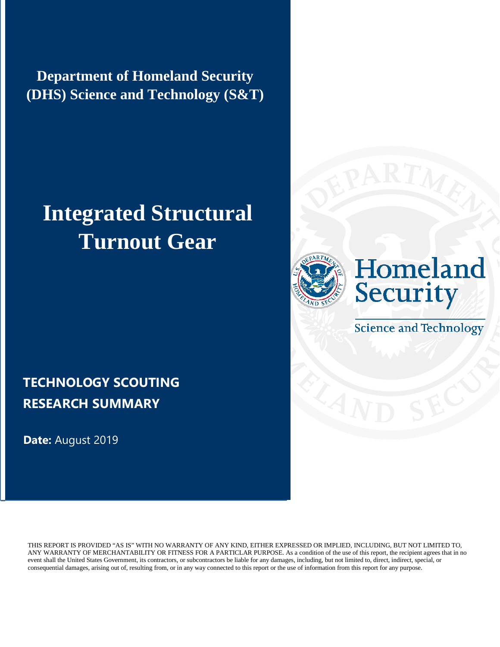**Department of Homeland Security (DHS) Science and Technology (S&T)**

# **Integrated Structural Turnout Gear**





**Science and Technology** 

# **TECHNOLOGY SCOUTING RESEARCH SUMMARY**

**Date:** August 2019

THIS REPORT IS PROVIDED "AS IS" WITH NO WARRANTY OF ANY KIND, EITHER EXPRESSED OR IMPLIED, INCLUDING, BUT NOT LIMITED TO, ANY WARRANTY OF MERCHANTABILITY OR FITNESS FOR A PARTICLAR PURPOSE. As a condition of the use of this report, the recipient agrees that in no event shall the United States Government, its contractors, or subcontractors be liable for any damages, including, but not limited to, direct, indirect, special, or consequential damages, arising out of, resulting from, or in any way connected to this report or the use of information from this report for any purpose.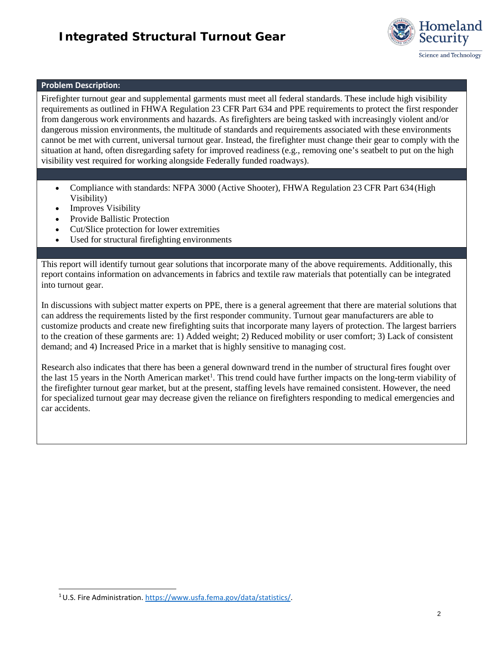#### *Integrated Structural Turnout Gear*



#### **Problem Description:**

Firefighter turnout gear and supplemental garments must meet all federal standards. These include high visibility requirements as outlined in FHWA Regulation 23 CFR Part 634 and PPE requirements to protect the first responder from dangerous work environments and hazards. As firefighters are being tasked with increasingly violent and/or dangerous mission environments, the multitude of standards and requirements associated with these environments cannot be met with current, universal turnout gear. Instead, the firefighter must change their gear to comply with the situation at hand, often disregarding safety for improved readiness (e.g., removing one's seatbelt to put on the high visibility vest required for working alongside Federally funded roadways).

- Compliance with standards: NFPA 3000 (Active Shooter), FHWA Regulation 23 CFR Part 634 (High Visibility)
- **Improves Visibility**
- Provide Ballistic Protection
- Cut/Slice protection for lower extremities
- Used for structural firefighting environments

This report will identify turnout gear solutions that incorporate many of the above requirements. Additionally, this report contains information on advancements in fabrics and textile raw materials that potentially can be integrated into turnout gear.

In discussions with subject matter experts on PPE, there is a general agreement that there are material solutions that can address the requirements listed by the first responder community. Turnout gear manufacturers are able to customize products and create new firefighting suits that incorporate many layers of protection. The largest barriers to the creation of these garments are: 1) Added weight; 2) Reduced mobility or user comfort; 3) Lack of consistent demand; and 4) Increased Price in a market that is highly sensitive to managing cost.

Research also indicates that there has been a general downward trend in the number of structural fires fought over the last 15 years in the North American market<sup>1</sup>. This trend could have further impacts on the long-term viability of the firefighter turnout gear market, but at the present, staffing levels have remained consistent. However, the need for specialized turnout gear may decrease given the reliance on firefighters responding to medical emergencies and car accidents.

<span id="page-1-0"></span><sup>1</sup> U.S. Fire Administration. [https://www.usfa.fema.gov/data/statistics/.](https://www.usfa.fema.gov/data/statistics/)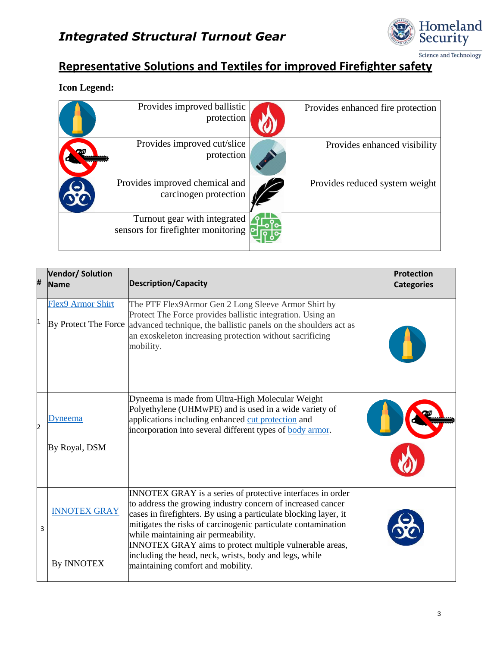

### **Representative Solutions and Textiles for improved Firefighter safety**

#### **Icon Legend:**

| Provides improved ballistic<br>protection                          | Provides enhanced fire protection |
|--------------------------------------------------------------------|-----------------------------------|
| Provides improved cut/slice<br>protection                          | Provides enhanced visibility      |
| Provides improved chemical and<br>carcinogen protection            | Provides reduced system weight    |
| Turnout gear with integrated<br>sensors for firefighter monitoring |                                   |

| # | <b>Vendor/Solution</b><br><b>Name</b>            | <b>Description/Capacity</b>                                                                                                                                                                                                                                                                                                                                                                                                                                     | <b>Protection</b><br><b>Categories</b> |
|---|--------------------------------------------------|-----------------------------------------------------------------------------------------------------------------------------------------------------------------------------------------------------------------------------------------------------------------------------------------------------------------------------------------------------------------------------------------------------------------------------------------------------------------|----------------------------------------|
| 1 | <b>Flex9 Armor Shirt</b><br>By Protect The Force | The PTF Flex9Armor Gen 2 Long Sleeve Armor Shirt by<br>Protect The Force provides ballistic integration. Using an<br>advanced technique, the ballistic panels on the shoulders act as<br>an exoskeleton increasing protection without sacrificing<br>mobility.                                                                                                                                                                                                  |                                        |
| 2 | Dyneema<br>By Royal, DSM                         | Dyneema is made from Ultra-High Molecular Weight<br>Polyethylene (UHMwPE) and is used in a wide variety of<br>applications including enhanced cut protection and<br>incorporation into several different types of body armor.                                                                                                                                                                                                                                   |                                        |
| 3 | <b>INNOTEX GRAY</b><br><b>By INNOTEX</b>         | INNOTEX GRAY is a series of protective interfaces in order<br>to address the growing industry concern of increased cancer<br>cases in firefighters. By using a particulate blocking layer, it<br>mitigates the risks of carcinogenic particulate contamination<br>while maintaining air permeability.<br>INNOTEX GRAY aims to protect multiple vulnerable areas,<br>including the head, neck, wrists, body and legs, while<br>maintaining comfort and mobility. |                                        |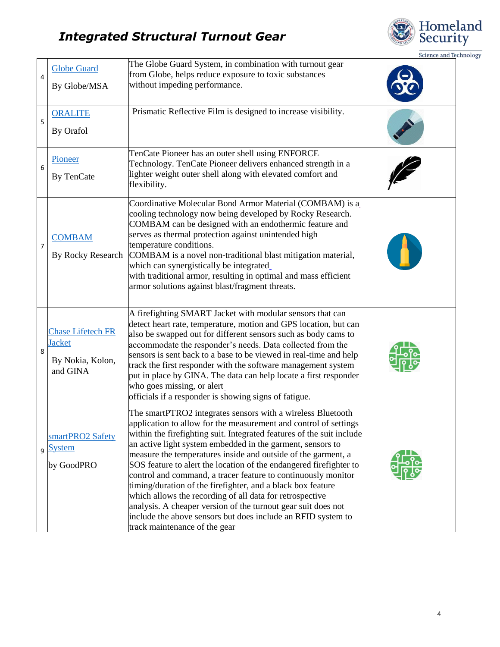# *Integrated Structural Turnout Gear*



Science and Technology

| 4 | <b>Globe Guard</b><br>By Globe/MSA                                        | The Globe Guard System, in combination with turnout gear<br>from Globe, helps reduce exposure to toxic substances<br>without impeding performance.                                                                                                                                                                                                                                                                                                                                                                                                                                                                                                                                                                                                                          |  |
|---|---------------------------------------------------------------------------|-----------------------------------------------------------------------------------------------------------------------------------------------------------------------------------------------------------------------------------------------------------------------------------------------------------------------------------------------------------------------------------------------------------------------------------------------------------------------------------------------------------------------------------------------------------------------------------------------------------------------------------------------------------------------------------------------------------------------------------------------------------------------------|--|
| 5 | <b>ORALITE</b><br>By Orafol                                               | Prismatic Reflective Film is designed to increase visibility.                                                                                                                                                                                                                                                                                                                                                                                                                                                                                                                                                                                                                                                                                                               |  |
| 6 | Pioneer<br>By TenCate                                                     | TenCate Pioneer has an outer shell using ENFORCE<br>Technology. TenCate Pioneer delivers enhanced strength in a<br>lighter weight outer shell along with elevated comfort and<br>flexibility.                                                                                                                                                                                                                                                                                                                                                                                                                                                                                                                                                                               |  |
| 7 | <b>COMBAM</b><br>By Rocky Research                                        | Coordinative Molecular Bond Armor Material (COMBAM) is a<br>cooling technology now being developed by Rocky Research.<br>COMBAM can be designed with an endothermic feature and<br>serves as thermal protection against unintended high<br>temperature conditions.<br>COMBAM is a novel non-traditional blast mitigation material,<br>which can synergistically be integrated<br>with traditional armor, resulting in optimal and mass efficient<br>armor solutions against blast/fragment threats.                                                                                                                                                                                                                                                                         |  |
| 8 | <b>Chase Lifetech FR</b><br><b>Jacket</b><br>By Nokia, Kolon,<br>and GINA | A firefighting SMART Jacket with modular sensors that can<br>detect heart rate, temperature, motion and GPS location, but can<br>also be swapped out for different sensors such as body cams to<br>accommodate the responder's needs. Data collected from the<br>sensors is sent back to a base to be viewed in real-time and help<br>track the first responder with the software management system<br>put in place by GINA. The data can help locate a first responder<br>who goes missing, or alert<br>officials if a responder is showing signs of fatigue.                                                                                                                                                                                                              |  |
|   | smartPRO2 Safety<br>g System<br>by GoodPRO                                | The smartPTRO2 integrates sensors with a wireless Bluetooth<br>application to allow for the measurement and control of settings<br>within the firefighting suit. Integrated features of the suit include<br>an active light system embedded in the garment, sensors to<br>measure the temperatures inside and outside of the garment, a<br>SOS feature to alert the location of the endangered firefighter to<br>control and command, a tracer feature to continuously monitor<br>timing/duration of the firefighter, and a black box feature<br>which allows the recording of all data for retrospective<br>analysis. A cheaper version of the turnout gear suit does not<br>include the above sensors but does include an RFID system to<br>track maintenance of the gear |  |